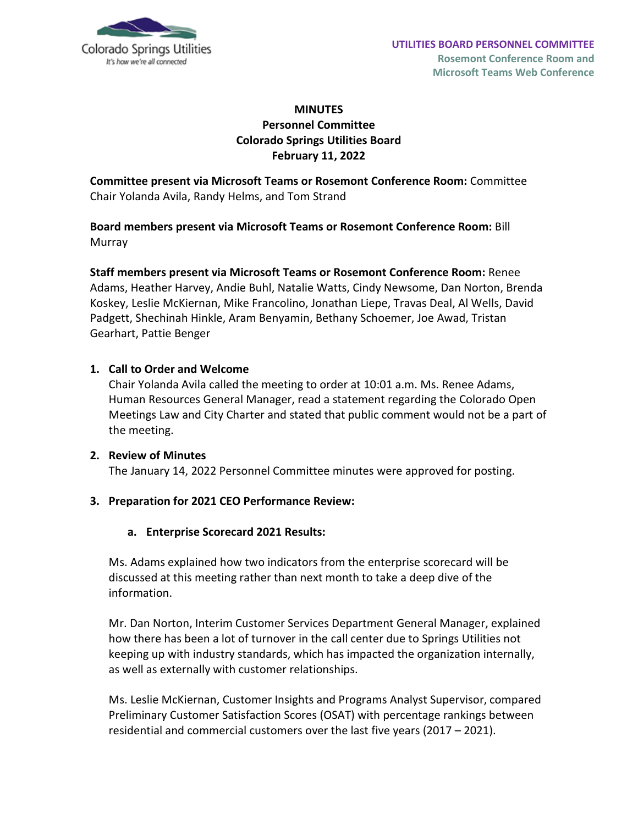

# **MINUTES Personnel Committee Colorado Springs Utilities Board February 11, 2022**

**Committee present via Microsoft Teams or Rosemont Conference Room:** Committee Chair Yolanda Avila, Randy Helms, and Tom Strand

**Board members present via Microsoft Teams or Rosemont Conference Room:** Bill Murray

**Staff members present via Microsoft Teams or Rosemont Conference Room:** Renee Adams, Heather Harvey, Andie Buhl, Natalie Watts, Cindy Newsome, Dan Norton, Brenda Koskey, Leslie McKiernan, Mike Francolino, Jonathan Liepe, Travas Deal, Al Wells, David Padgett, Shechinah Hinkle, Aram Benyamin, Bethany Schoemer, Joe Awad, Tristan Gearhart, Pattie Benger

### **1. Call to Order and Welcome**

Chair Yolanda Avila called the meeting to order at 10:01 a.m. Ms. Renee Adams, Human Resources General Manager, read a statement regarding the Colorado Open Meetings Law and City Charter and stated that public comment would not be a part of the meeting.

#### **2. Review of Minutes** The January 14, 2022 Personnel Committee minutes were approved for posting.

## **3. Preparation for 2021 CEO Performance Review:**

#### **a. Enterprise Scorecard 2021 Results:**

Ms. Adams explained how two indicators from the enterprise scorecard will be discussed at this meeting rather than next month to take a deep dive of the information.

Mr. Dan Norton, Interim Customer Services Department General Manager, explained how there has been a lot of turnover in the call center due to Springs Utilities not keeping up with industry standards, which has impacted the organization internally, as well as externally with customer relationships.

Ms. Leslie McKiernan, Customer Insights and Programs Analyst Supervisor, compared Preliminary Customer Satisfaction Scores (OSAT) with percentage rankings between residential and commercial customers over the last five years (2017 – 2021).